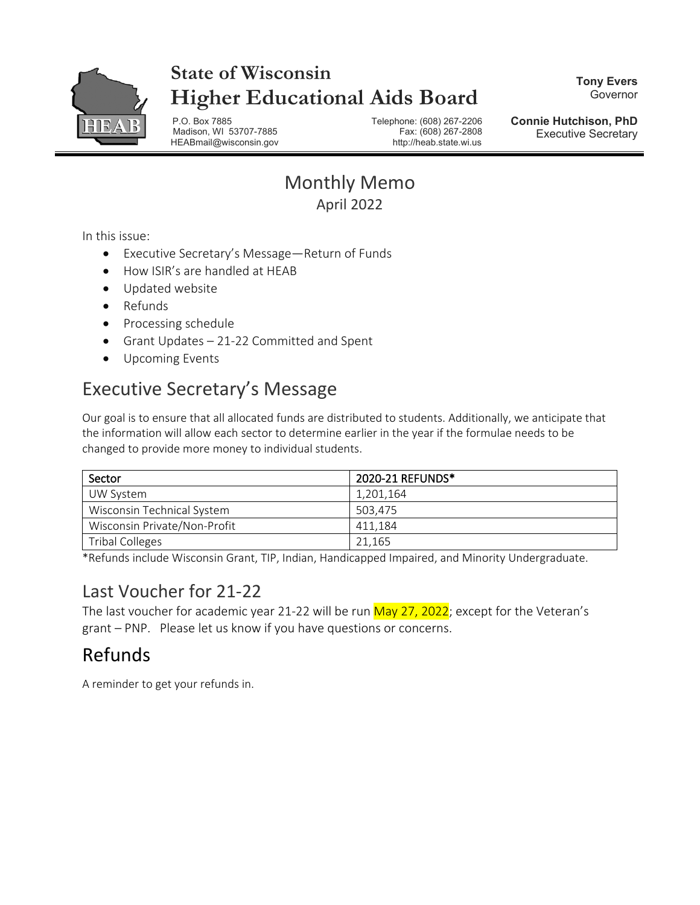

# **State of Wisconsin Higher Educational Aids Board**

**Tony Evers** Governor

P.O. Box 7885 Telephone: (608) 267-2206 Madison, WI 53707-7885 HEABmail@wisconsin.gov http://heab.state.wi.us

**Connie Hutchison, PhD** Executive Secretary

### Monthly Memo April 2022

In this issue:

- Executive Secretary's Message—Return of Funds
- How ISIR's are handled at HEAB
- Updated website
- Refunds
- Processing schedule
- Grant Updates 21-22 Committed and Spent
- Upcoming Events

## Executive Secretary's Message

Our goal is to ensure that all allocated funds are distributed to students. Additionally, we anticipate that the information will allow each sector to determine earlier in the year if the formulae needs to be changed to provide more money to individual students.

| Sector                       | 2020-21 REFUNDS* |
|------------------------------|------------------|
| UW System                    | 1,201,164        |
| Wisconsin Technical System   | 503.475          |
| Wisconsin Private/Non-Profit | 411.184          |
| <b>Tribal Colleges</b>       | 21.165           |

\*Refunds include Wisconsin Grant, TIP, Indian, Handicapped Impaired, and Minority Undergraduate.

### Last Voucher for 21-22

The last voucher for academic year 21-22 will be run May 27, 2022; except for the Veteran's grant – PNP. Please let us know if you have questions or concerns.

# Refunds

A reminder to get your refunds in.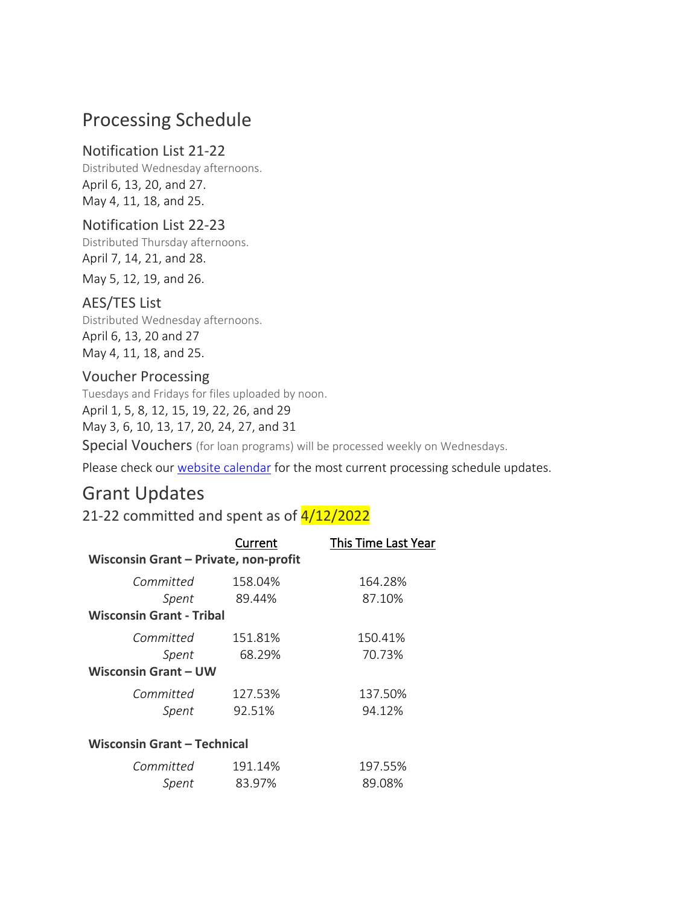### Processing Schedule

#### Notification List 21-22

Distributed Wednesday afternoons. April 6, 13, 20, and 27. May 4, 11, 18, and 25.

#### Notification List 22-23

Distributed Thursday afternoons. April 7, 14, 21, and 28.

May 5, 12, 19, and 26.

#### AES/TES List

Distributed Wednesday afternoons. April 6, 13, 20 and 27 May 4, 11, 18, and 25.

#### Voucher Processing

Tuesdays and Fridays for files uploaded by noon. April 1, 5, 8, 12, 15, 19, 22, 26, and 29 May 3, 6, 10, 13, 17, 20, 24, 27, and 31

Special Vouchers (for loan programs) will be processed weekly on Wednesdays.

Please check our [website calendar](https://heab.state.wi.us/pschedule.html) for the most current processing schedule updates.

### Grant Updates

21-22 committed and spent as of  $4/12/2022$ 

|                                       | Current | This Time Last Year |
|---------------------------------------|---------|---------------------|
| Wisconsin Grant - Private, non-profit |         |                     |
| Committed                             | 158.04% | 164.28%             |
| Spent                                 | 89.44%  | 87.10%              |
| <b>Wisconsin Grant - Tribal</b>       |         |                     |
| Committed                             | 151.81% | 150.41%             |
| Spent                                 | 68.29%  | 70.73%              |
| <b>Wisconsin Grant – UW</b>           |         |                     |
| Committed                             | 127.53% | 137.50%             |
| Spent                                 | 92.51%  | 94.12%              |
| <b>Wisconsin Grant - Technical</b>    |         |                     |
| Committed                             | 191.14% | 197.55%             |
| Spent                                 | 83.97%  | 89.08%              |